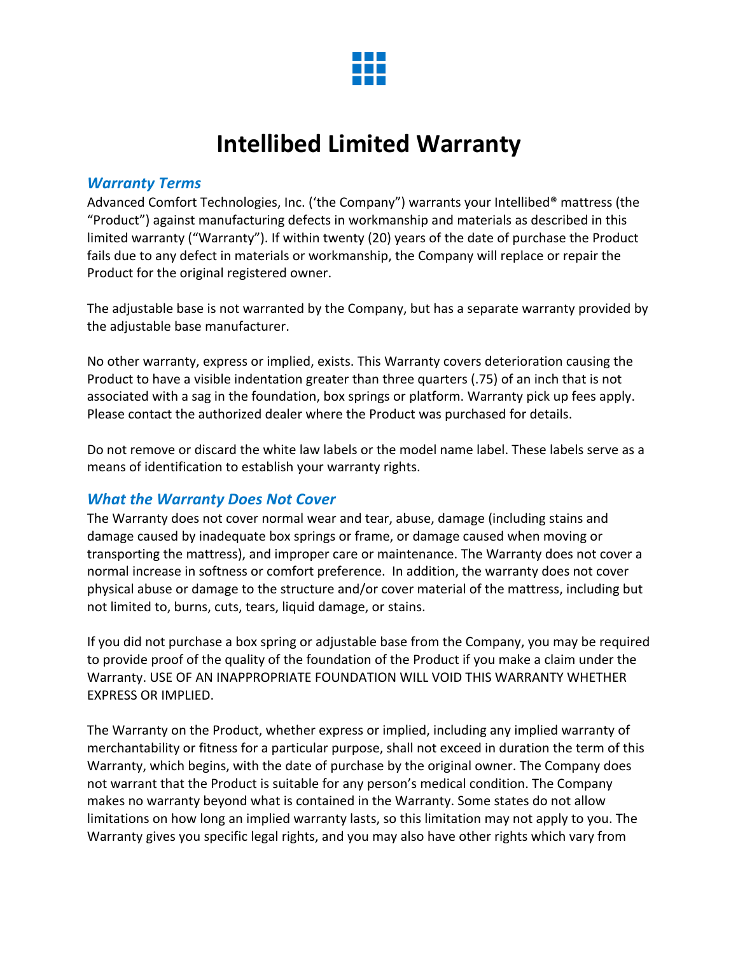

# **Intellibed Limited Warranty**

#### *Warranty Terms*

Advanced Comfort Technologies, Inc. ('the Company") warrants your Intellibed® mattress (the "Product") against manufacturing defects in workmanship and materials as described in this limited warranty ("Warranty"). If within twenty (20) years of the date of purchase the Product fails due to any defect in materials or workmanship, the Company will replace or repair the Product for the original registered owner.

The adjustable base is not warranted by the Company, but has a separate warranty provided by the adjustable base manufacturer.

No other warranty, express or implied, exists. This Warranty covers deterioration causing the Product to have a visible indentation greater than three quarters (.75) of an inch that is not associated with a sag in the foundation, box springs or platform. Warranty pick up fees apply. Please contact the authorized dealer where the Product was purchased for details.

Do not remove or discard the white law labels or the model name label. These labels serve as a means of identification to establish your warranty rights.

#### *What the Warranty Does Not Cover*

The Warranty does not cover normal wear and tear, abuse, damage (including stains and damage caused by inadequate box springs or frame, or damage caused when moving or transporting the mattress), and improper care or maintenance. The Warranty does not cover a normal increase in softness or comfort preference. In addition, the warranty does not cover physical abuse or damage to the structure and/or cover material of the mattress, including but not limited to, burns, cuts, tears, liquid damage, or stains.

If you did not purchase a box spring or adjustable base from the Company, you may be required to provide proof of the quality of the foundation of the Product if you make a claim under the Warranty. USE OF AN INAPPROPRIATE FOUNDATION WILL VOID THIS WARRANTY WHETHER EXPRESS OR IMPLIED.

The Warranty on the Product, whether express or implied, including any implied warranty of merchantability or fitness for a particular purpose, shall not exceed in duration the term of this Warranty, which begins, with the date of purchase by the original owner. The Company does not warrant that the Product is suitable for any person's medical condition. The Company makes no warranty beyond what is contained in the Warranty. Some states do not allow limitations on how long an implied warranty lasts, so this limitation may not apply to you. The Warranty gives you specific legal rights, and you may also have other rights which vary from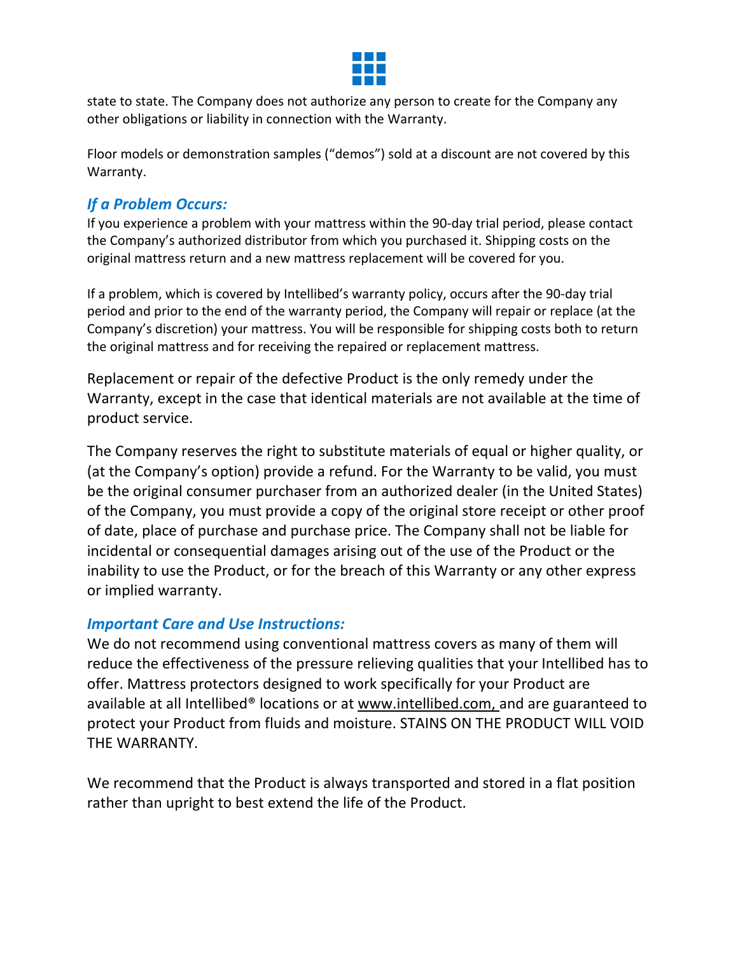

state to state. The Company does not authorize any person to create for the Company any other obligations or liability in connection with the Warranty.

Floor models or demonstration samples ("demos") sold at a discount are not covered by this Warranty.

## *If a Problem Occurs:*

If you experience a problem with your mattress within the 90-day trial period, please contact the Company's authorized distributor from which you purchased it. Shipping costs on the original mattress return and a new mattress replacement will be covered for you.

If a problem, which is covered by Intellibed's warranty policy, occurs after the 90-day trial period and prior to the end of the warranty period, the Company will repair or replace (at the Company's discretion) your mattress. You will be responsible for shipping costs both to return the original mattress and for receiving the repaired or replacement mattress.

Replacement or repair of the defective Product is the only remedy under the Warranty, except in the case that identical materials are not available at the time of product service.

The Company reserves the right to substitute materials of equal or higher quality, or (at the Company's option) provide a refund. For the Warranty to be valid, you must be the original consumer purchaser from an authorized dealer (in the United States) of the Company, you must provide a copy of the original store receipt or other proof of date, place of purchase and purchase price. The Company shall not be liable for incidental or consequential damages arising out of the use of the Product or the inability to use the Product, or for the breach of this Warranty or any other express or implied warranty.

### *Important Care and Use Instructions:*

We do not recommend using conventional mattress covers as many of them will reduce the effectiveness of the pressure relieving qualities that your Intellibed has to offer. Mattress protectors designed to work specifically for your Product are available at all Intellibed® locations or at www.intellibed.com, and are guaranteed to protect your Product from fluids and moisture. STAINS ON THE PRODUCT WILL VOID THE WARRANTY.

We recommend that the Product is always transported and stored in a flat position rather than upright to best extend the life of the Product.